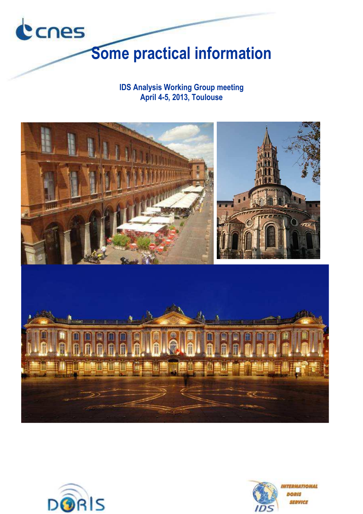

**IDS Analysis Working Group meeting April 4-5, 2013, Toulouse** 





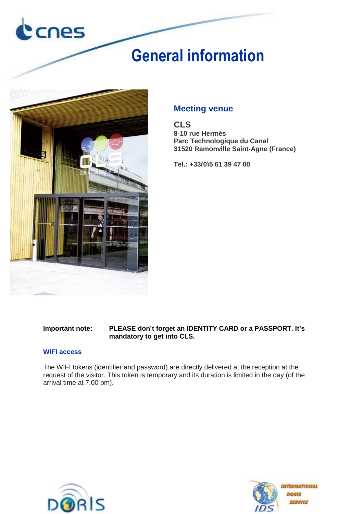

# **General information**



### **Meeting venue**

**CLS 8-10 rue Hermès Parc Technologique du Canal 31520 Ramonville Saint-Agne (France)** 

**Tel.: +33(0)5 61 39 47 00**

#### **Important note: PLEASE don't forget an IDENTITY CARD or a PASSPORT. It's mandatory to get into CLS.**

#### **WIFI access**

The WIFI tokens (identifier and password) are directly delivered at the reception at the request of the visitor. This token is temporary and its duration is limited in the day (of the arrival time at 7:00 pm).



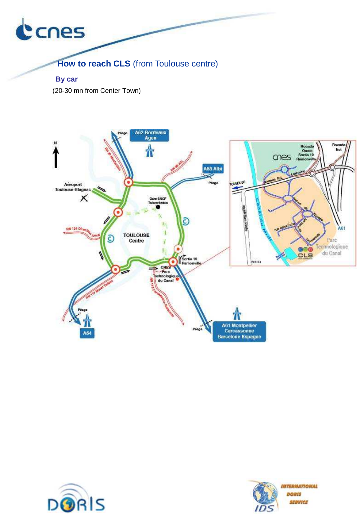

**How to reach CLS** (from Toulouse centre)

 **By car** 

(20-30 mn from Center Town)





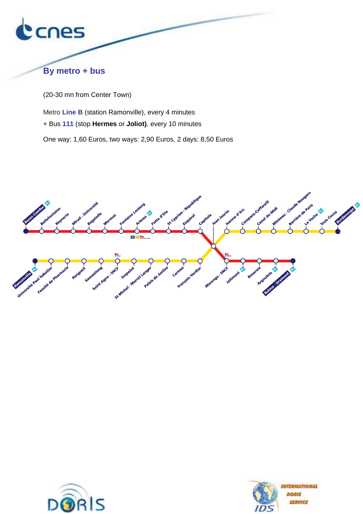

### **By metro + bus**

(20-30 mn from Center Town)

Metro **Line B** (station Ramonville), every 4 minutes + Bus **111** (stop **Hermes** or **Joliot)**, every 10 minutes One way: 1,60 Euros, two ways: 2,90 Euros, 2 days: 8,50 Euros





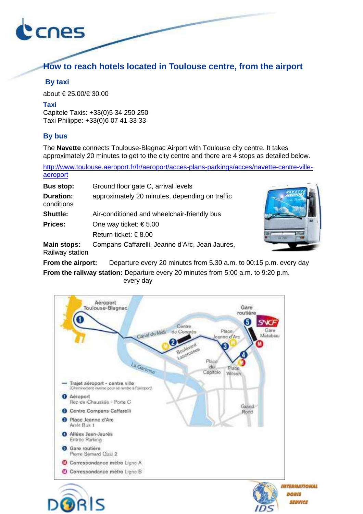

### **How to reach hotels located in Toulouse centre, from the airport**

### **By taxi**

about € 25.00/€ 30.00

### **Taxi**

Capitole Taxis: +33(0)5 34 250 250 Taxi Philippe: +33(0)6 07 41 33 33

### **By bus**

The **Navette** connects Toulouse-Blagnac Airport with Toulouse city centre. It takes approximately 20 minutes to get to the city centre and there are 4 stops as detailed below.

http://www.toulouse.aeroport.fr/fr/aeroport/acces-plans-parkings/acces/navette-centre-villeaeroport

| <b>Bus stop:</b>               | Ground floor gate C, arrival levels            |
|--------------------------------|------------------------------------------------|
| <b>Duration:</b><br>conditions | approximately 20 minutes, depending on traffic |
| <b>Shuttle:</b>                | Air-conditioned and wheelchair-friendly bus    |
| <b>Prices:</b>                 | One way ticket: $\epsilon$ 5.00                |
|                                | Return ticket: $\in$ 8.00                      |
| <b>Main stops:</b>             | Compans-Caffarelli, Jeanne d'Arc, Jean Jaures, |



Railway station

**From the airport:** Departure every 20 minutes from 5.30 a.m. to 00:15 p.m. every day

**From the railway station:** Departure every 20 minutes from 5:00 a.m. to 9:20 p.m. every day

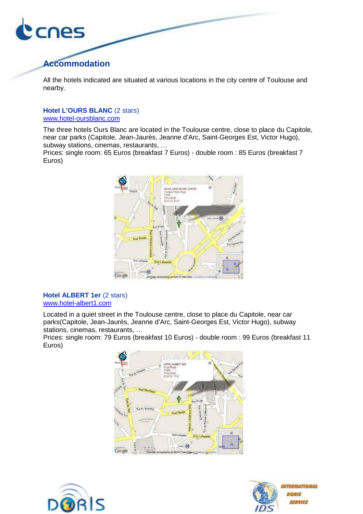

### **Accommodation**

All the hotels indicated are situated at various locations in the city centre of Toulouse and nearby.

### **Hotel L'OURS BLANC** (2 stars)

www.hotel-oursblanc.com

The three hotels Ours Blanc are located in the Toulouse centre, close to place du Capitole, near car parks (Capitole, Jean-Jaurès, Jeanne d'Arc, Saint-Georges Est, Victor Hugo), subway stations, cinemas, restaurants, …

Prices: single room: 65 Euros (breakfast 7 Euros) - double room : 85 Euros (breakfast 7 Euros)



#### **Hotel ALBERT 1er** (2 stars) www.hotel-albert1.com

Located in a quiet street in the Toulouse centre, close to place du Capitole, near car parks(Capitole, Jean-Jaurès, Jeanne d'Arc, Saint-Georges Est, Victor Hugo), subway stations, cinemas, restaurants, …

Prices: single room: 79 Euros (breakfast 10 Euros) - double room : 99 Euros (breakfast 11 Euros)





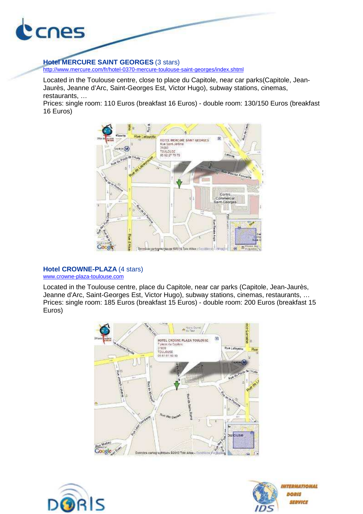

### **Hotel MERCURE SAINT GEORGES** (3 stars)

http://www.mercure.com/fr/hotel-0370-mercure-toulouse-saint-georges/index.shtml

Located in the Toulouse centre, close to place du Capitole, near car parks(Capitole, Jean-Jaurès, Jeanne d'Arc, Saint-Georges Est, Victor Hugo), subway stations, cinemas, restaurants, …

Prices: single room: 110 Euros (breakfast 16 Euros) - double room: 130/150 Euros (breakfast 16 Euros)



### **Hotel CROWNE-PLAZA** (4 stars)

www.crowne-plaza-toulouse.com

Located in the Toulouse centre, place du Capitole, near car parks (Capitole, Jean-Jaurès, Jeanne d'Arc, Saint-Georges Est, Victor Hugo), subway stations, cinemas, restaurants, … Prices: single room: 185 Euros (breakfast 15 Euros) - double room: 200 Euros (breakfast 15 Euros)





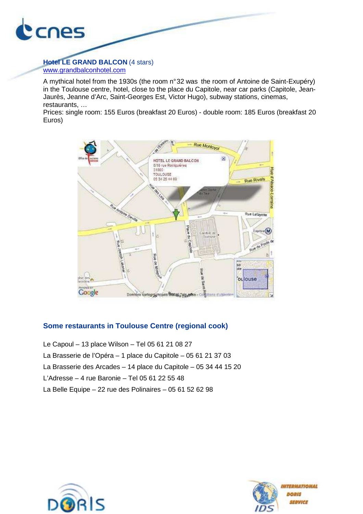

**Hotel LE GRAND BALCON** (4 stars) www.grandbalconhotel.com

A mythical hotel from the 1930s (the room n° 32 was the room of Antoine de Saint-Exupéry) in the Toulouse centre, hotel, close to the place du Capitole, near car parks (Capitole, Jean-Jaurès, Jeanne d'Arc, Saint-Georges Est, Victor Hugo), subway stations, cinemas, restaurants, …

Prices: single room: 155 Euros (breakfast 20 Euros) - double room: 185 Euros (breakfast 20 Euros)



### **Some restaurants in Toulouse Centre (regional cook)**

- Le Capoul 13 place Wilson Tel 05 61 21 08 27
- La Brasserie de l'Opéra 1 place du Capitole 05 61 21 37 03
- La Brasserie des Arcades 14 place du Capitole 05 34 44 15 20
- L'Adresse 4 rue Baronie Tel 05 61 22 55 48
- La Belle Equipe 22 rue des Polinaires 05 61 52 62 98



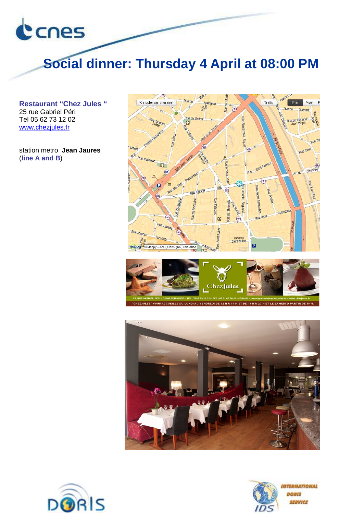

# **Social dinner: Thursday 4 April at 08:00 PM**

**Restaurant "Chez Jules "** 25 rue Gabriel Péri Tel 05 62 73 12 02 www.chezjules.fr

station metro **Jean Jaures** (**line A and B**)